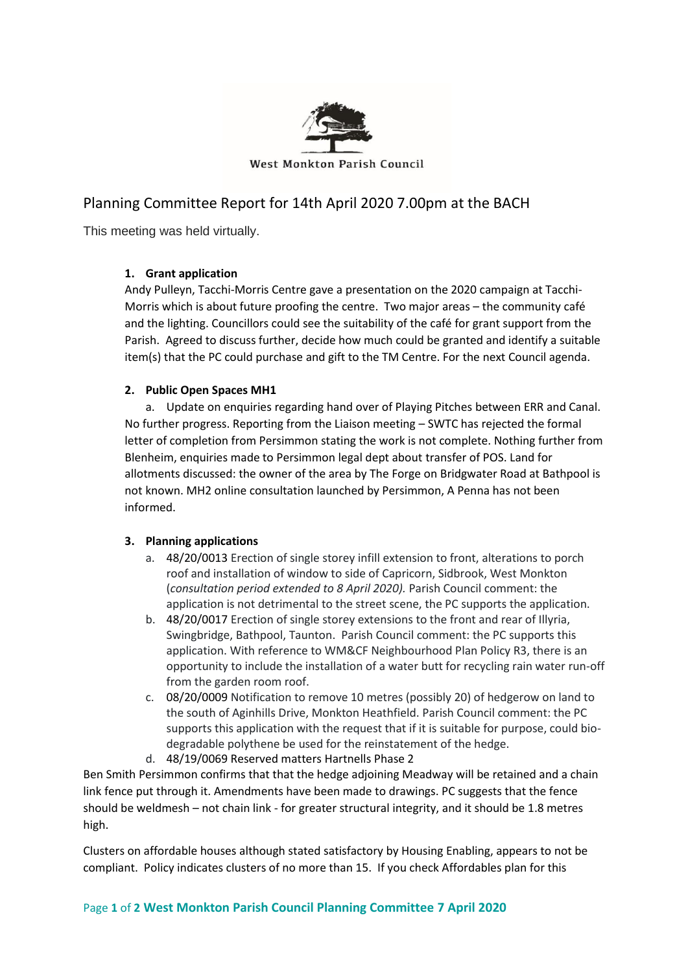

West Monkton Parish Council

# Planning Committee Report for 14th April 2020 7.00pm at the BACH

This meeting was held virtually.

## **1. Grant application**

Andy Pulleyn, Tacchi-Morris Centre gave a presentation on the 2020 campaign at Tacchi-Morris which is about future proofing the centre. Two major areas – the community café and the lighting. Councillors could see the suitability of the café for grant support from the Parish. Agreed to discuss further, decide how much could be granted and identify a suitable item(s) that the PC could purchase and gift to the TM Centre. For the next Council agenda.

## **2. Public Open Spaces MH1**

a. Update on enquiries regarding hand over of Playing Pitches between ERR and Canal. No further progress. Reporting from the Liaison meeting – SWTC has rejected the formal letter of completion from Persimmon stating the work is not complete. Nothing further from Blenheim, enquiries made to Persimmon legal dept about transfer of POS. Land for allotments discussed: the owner of the area by The Forge on Bridgwater Road at Bathpool is not known. MH2 online consultation launched by Persimmon, A Penna has not been informed.

## **3. Planning applications**

- a. 48/20/0013 Erection of single storey infill extension to front, alterations to porch roof and installation of window to side of Capricorn, Sidbrook, West Monkton (*consultation period extended to 8 April 2020).* Parish Council comment: the application is not detrimental to the street scene, the PC supports the application.
- b. 48/20/0017 Erection of single storey extensions to the front and rear of Illyria, Swingbridge, Bathpool, Taunton. Parish Council comment: the PC supports this application. With reference to WM&CF Neighbourhood Plan Policy R3, there is an opportunity to include the installation of a water butt for recycling rain water run-off from the garden room roof.
- c. 08/20/0009 Notification to remove 10 metres (possibly 20) of hedgerow on land to the south of Aginhills Drive, Monkton Heathfield. Parish Council comment: the PC supports this application with the request that if it is suitable for purpose, could biodegradable polythene be used for the reinstatement of the hedge.
- d. 48/19/0069 Reserved matters Hartnells Phase 2

Ben Smith Persimmon confirms that that the hedge adjoining Meadway will be retained and a chain link fence put through it. Amendments have been made to drawings. PC suggests that the fence should be weldmesh – not chain link - for greater structural integrity, and it should be 1.8 metres high.

Clusters on affordable houses although stated satisfactory by Housing Enabling, appears to not be compliant. Policy indicates clusters of no more than 15. If you check Affordables plan for this